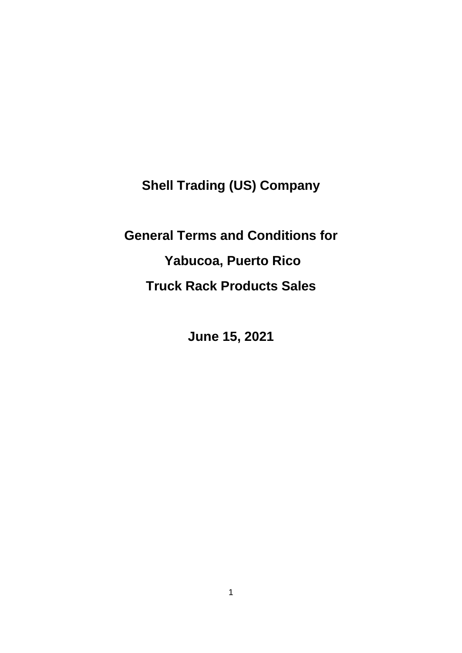**Shell Trading (US) Company**

**General Terms and Conditions for Yabucoa, Puerto Rico Truck Rack Products Sales**

**June 15, 2021**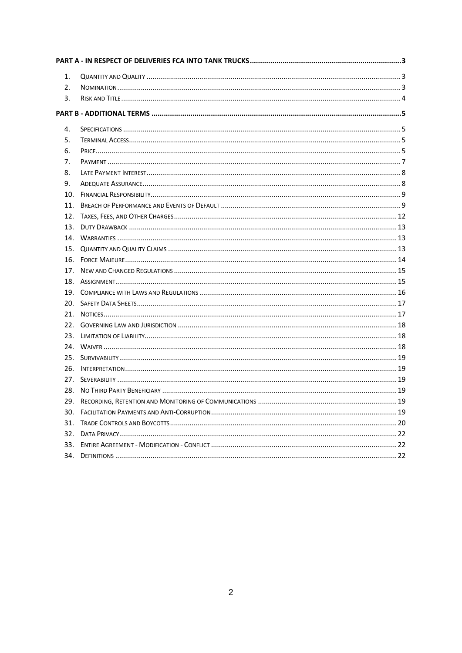| 1.  |  |  |
|-----|--|--|
| 2.  |  |  |
| 3.  |  |  |
|     |  |  |
| 4.  |  |  |
| 5.  |  |  |
| 6.  |  |  |
| 7.  |  |  |
| 8.  |  |  |
| 9.  |  |  |
| 10. |  |  |
| 11. |  |  |
| 12. |  |  |
| 13. |  |  |
|     |  |  |
|     |  |  |
| 16. |  |  |
| 17. |  |  |
|     |  |  |
|     |  |  |
| 20. |  |  |
| 21. |  |  |
|     |  |  |
| 23. |  |  |
|     |  |  |
|     |  |  |
| 26. |  |  |
| 27. |  |  |
| 28. |  |  |
| 29. |  |  |
| 30. |  |  |
|     |  |  |
| 32. |  |  |
|     |  |  |
|     |  |  |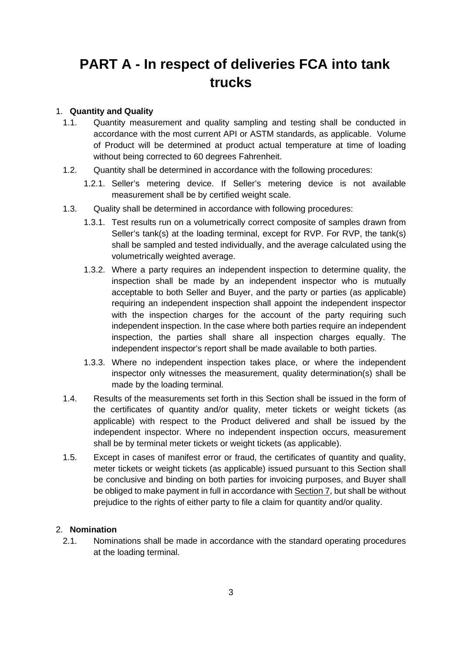# <span id="page-2-0"></span>**PART A - In respect of deliveries FCA into tank trucks**

## <span id="page-2-1"></span>1. **Quantity and Quality**

- 1.1. Quantity measurement and quality sampling and testing shall be conducted in accordance with the most current API or ASTM standards, as applicable. Volume of Product will be determined at product actual temperature at time of loading without being corrected to 60 degrees Fahrenheit.
- 1.2. Quantity shall be determined in accordance with the following procedures:
	- 1.2.1. Seller's metering device. If Seller's metering device is not available measurement shall be by certified weight scale.
- 1.3. Quality shall be determined in accordance with following procedures:
	- 1.3.1. Test results run on a volumetrically correct composite of samples drawn from Seller's tank(s) at the loading terminal, except for RVP. For RVP, the tank(s) shall be sampled and tested individually, and the average calculated using the volumetrically weighted average.
	- 1.3.2. Where a party requires an independent inspection to determine quality, the inspection shall be made by an independent inspector who is mutually acceptable to both Seller and Buyer, and the party or parties (as applicable) requiring an independent inspection shall appoint the independent inspector with the inspection charges for the account of the party requiring such independent inspection. In the case where both parties require an independent inspection, the parties shall share all inspection charges equally. The independent inspector's report shall be made available to both parties.
	- 1.3.3. Where no independent inspection takes place, or where the independent inspector only witnesses the measurement, quality determination(s) shall be made by the loading terminal.
- 1.4. Results of the measurements set forth in this Section shall be issued in the form of the certificates of quantity and/or quality, meter tickets or weight tickets (as applicable) with respect to the Product delivered and shall be issued by the independent inspector. Where no independent inspection occurs, measurement shall be by terminal meter tickets or weight tickets (as applicable).
- 1.5. Except in cases of manifest error or fraud, the certificates of quantity and quality, meter tickets or weight tickets (as applicable) issued pursuant to this Section shall be conclusive and binding on both parties for invoicing purposes, and Buyer shall be obliged to make payment in full in accordance with Section 7, but shall be without prejudice to the rights of either party to file a claim for quantity and/or quality.

## <span id="page-2-2"></span>2. **Nomination**

2.1. Nominations shall be made in accordance with the standard operating procedures at the loading terminal.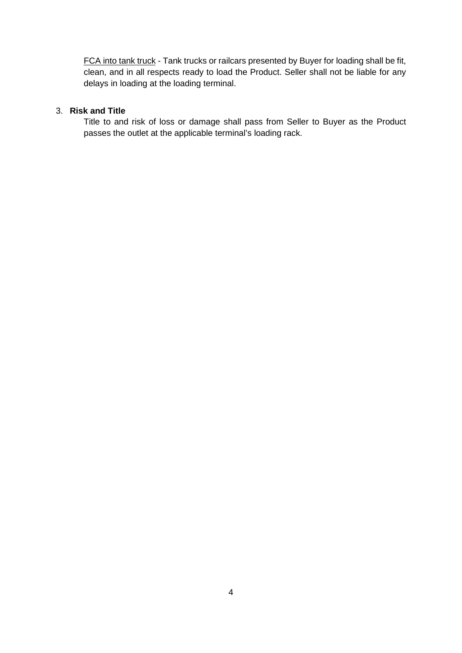FCA into tank truck - Tank trucks or railcars presented by Buyer for loading shall be fit, clean, and in all respects ready to load the Product. Seller shall not be liable for any delays in loading at the loading terminal.

## <span id="page-3-0"></span>3. **Risk and Title**

Title to and risk of loss or damage shall pass from Seller to Buyer as the Product passes the outlet at the applicable terminal's loading rack.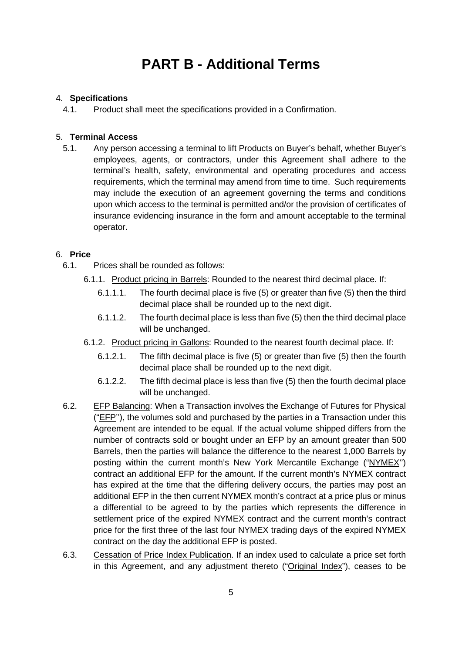# **PART B - Additional Terms**

## <span id="page-4-1"></span><span id="page-4-0"></span>4. **Specifications**

4.1. Product shall meet the specifications provided in a Confirmation.

## <span id="page-4-2"></span>5. **Terminal Access**

5.1. Any person accessing a terminal to lift Products on Buyer's behalf, whether Buyer's employees, agents, or contractors, under this Agreement shall adhere to the terminal's health, safety, environmental and operating procedures and access requirements, which the terminal may amend from time to time. Such requirements may include the execution of an agreement governing the terms and conditions upon which access to the terminal is permitted and/or the provision of certificates of insurance evidencing insurance in the form and amount acceptable to the terminal operator.

## <span id="page-4-3"></span>6. **Price**

- 6.1. Prices shall be rounded as follows:
	- 6.1.1. Product pricing in Barrels: Rounded to the nearest third decimal place. If:
		- 6.1.1.1. The fourth decimal place is five (5) or greater than five (5) then the third decimal place shall be rounded up to the next digit.
		- 6.1.1.2. The fourth decimal place is less than five (5) then the third decimal place will be unchanged.
	- 6.1.2. Product pricing in Gallons: Rounded to the nearest fourth decimal place. If:
		- 6.1.2.1. The fifth decimal place is five (5) or greater than five (5) then the fourth decimal place shall be rounded up to the next digit.
		- 6.1.2.2. The fifth decimal place is less than five (5) then the fourth decimal place will be unchanged.
- 6.2. EFP Balancing: When a Transaction involves the Exchange of Futures for Physical ("EFP''), the volumes sold and purchased by the parties in a Transaction under this Agreement are intended to be equal. If the actual volume shipped differs from the number of contracts sold or bought under an EFP by an amount greater than 500 Barrels, then the parties will balance the difference to the nearest 1,000 Barrels by posting within the current month's New York Mercantile Exchange ("NYMEX'') contract an additional EFP for the amount. If the current month's NYMEX contract has expired at the time that the differing delivery occurs, the parties may post an additional EFP in the then current NYMEX month's contract at a price plus or minus a differential to be agreed to by the parties which represents the difference in settlement price of the expired NYMEX contract and the current month's contract price for the first three of the last four NYMEX trading days of the expired NYMEX contract on the day the additional EFP is posted.
- 6.3. Cessation of Price Index Publication. If an index used to calculate a price set forth in this Agreement, and any adjustment thereto ("Original Index"), ceases to be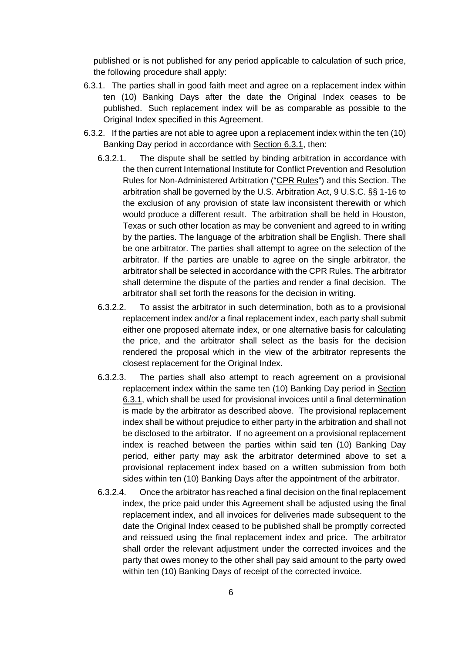published or is not published for any period applicable to calculation of such price, the following procedure shall apply:

- 6.3.1. The parties shall in good faith meet and agree on a replacement index within ten (10) Banking Days after the date the Original Index ceases to be published. Such replacement index will be as comparable as possible to the Original Index specified in this Agreement.
- 6.3.2. If the parties are not able to agree upon a replacement index within the ten (10) Banking Day period in accordance with Section 6.3.1, then:
	- 6.3.2.1. The dispute shall be settled by binding arbitration in accordance with the then current International Institute for Conflict Prevention and Resolution Rules for Non-Administered Arbitration ("CPR Rules") and this Section. The arbitration shall be governed by the U.S. Arbitration Act, 9 U.S.C. §§ 1-16 to the exclusion of any provision of state law inconsistent therewith or which would produce a different result. The arbitration shall be held in Houston, Texas or such other location as may be convenient and agreed to in writing by the parties. The language of the arbitration shall be English. There shall be one arbitrator. The parties shall attempt to agree on the selection of the arbitrator. If the parties are unable to agree on the single arbitrator, the arbitrator shall be selected in accordance with the CPR Rules. The arbitrator shall determine the dispute of the parties and render a final decision. The arbitrator shall set forth the reasons for the decision in writing.
	- 6.3.2.2. To assist the arbitrator in such determination, both as to a provisional replacement index and/or a final replacement index, each party shall submit either one proposed alternate index, or one alternative basis for calculating the price, and the arbitrator shall select as the basis for the decision rendered the proposal which in the view of the arbitrator represents the closest replacement for the Original Index.
	- 6.3.2.3. The parties shall also attempt to reach agreement on a provisional replacement index within the same ten (10) Banking Day period in Section 6.3.1, which shall be used for provisional invoices until a final determination is made by the arbitrator as described above. The provisional replacement index shall be without prejudice to either party in the arbitration and shall not be disclosed to the arbitrator. If no agreement on a provisional replacement index is reached between the parties within said ten (10) Banking Day period, either party may ask the arbitrator determined above to set a provisional replacement index based on a written submission from both sides within ten (10) Banking Days after the appointment of the arbitrator.
	- 6.3.2.4. Once the arbitrator has reached a final decision on the final replacement index, the price paid under this Agreement shall be adjusted using the final replacement index, and all invoices for deliveries made subsequent to the date the Original Index ceased to be published shall be promptly corrected and reissued using the final replacement index and price. The arbitrator shall order the relevant adjustment under the corrected invoices and the party that owes money to the other shall pay said amount to the party owed within ten (10) Banking Days of receipt of the corrected invoice.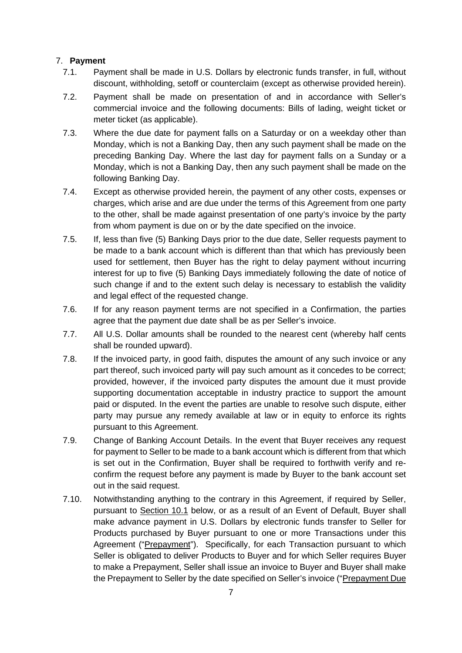## <span id="page-6-0"></span>7. **Payment**

- 7.1. Payment shall be made in U.S. Dollars by electronic funds transfer, in full, without discount, withholding, setoff or counterclaim (except as otherwise provided herein).
- 7.2. Payment shall be made on presentation of and in accordance with Seller's commercial invoice and the following documents: Bills of lading, weight ticket or meter ticket (as applicable).
- 7.3. Where the due date for payment falls on a Saturday or on a weekday other than Monday, which is not a Banking Day, then any such payment shall be made on the preceding Banking Day. Where the last day for payment falls on a Sunday or a Monday, which is not a Banking Day, then any such payment shall be made on the following Banking Day.
- 7.4. Except as otherwise provided herein, the payment of any other costs, expenses or charges, which arise and are due under the terms of this Agreement from one party to the other, shall be made against presentation of one party's invoice by the party from whom payment is due on or by the date specified on the invoice.
- 7.5. If, less than five (5) Banking Days prior to the due date, Seller requests payment to be made to a bank account which is different than that which has previously been used for settlement, then Buyer has the right to delay payment without incurring interest for up to five (5) Banking Days immediately following the date of notice of such change if and to the extent such delay is necessary to establish the validity and legal effect of the requested change.
- 7.6. If for any reason payment terms are not specified in a Confirmation, the parties agree that the payment due date shall be as per Seller's invoice.
- 7.7. All U.S. Dollar amounts shall be rounded to the nearest cent (whereby half cents shall be rounded upward).
- 7.8. If the invoiced party, in good faith, disputes the amount of any such invoice or any part thereof, such invoiced party will pay such amount as it concedes to be correct; provided, however, if the invoiced party disputes the amount due it must provide supporting documentation acceptable in industry practice to support the amount paid or disputed. In the event the parties are unable to resolve such dispute, either party may pursue any remedy available at law or in equity to enforce its rights pursuant to this Agreement.
- 7.9. Change of Banking Account Details. In the event that Buyer receives any request for payment to Seller to be made to a bank account which is different from that which is set out in the Confirmation, Buyer shall be required to forthwith verify and reconfirm the request before any payment is made by Buyer to the bank account set out in the said request.
- 7.10. Notwithstanding anything to the contrary in this Agreement, if required by Seller, pursuant to Section 10.1 below, or as a result of an Event of Default, Buyer shall make advance payment in U.S. Dollars by electronic funds transfer to Seller for Products purchased by Buyer pursuant to one or more Transactions under this Agreement ("Prepayment"). Specifically, for each Transaction pursuant to which Seller is obligated to deliver Products to Buyer and for which Seller requires Buyer to make a Prepayment, Seller shall issue an invoice to Buyer and Buyer shall make the Prepayment to Seller by the date specified on Seller's invoice ("Prepayment Due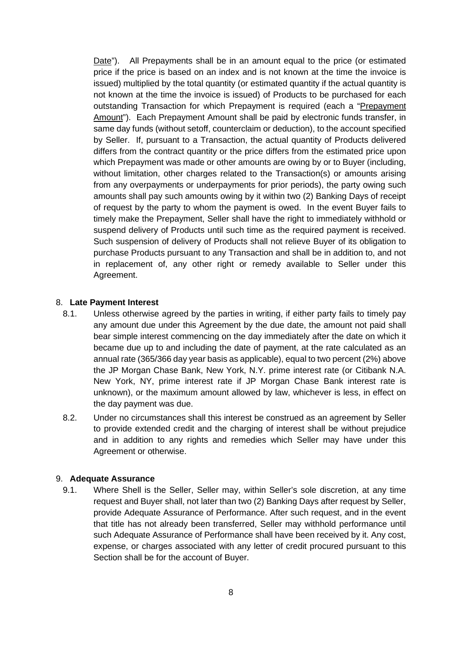Date"). All Prepayments shall be in an amount equal to the price (or estimated price if the price is based on an index and is not known at the time the invoice is issued) multiplied by the total quantity (or estimated quantity if the actual quantity is not known at the time the invoice is issued) of Products to be purchased for each outstanding Transaction for which Prepayment is required (each a "Prepayment Amount"). Each Prepayment Amount shall be paid by electronic funds transfer, in same day funds (without setoff, counterclaim or deduction), to the account specified by Seller. If, pursuant to a Transaction, the actual quantity of Products delivered differs from the contract quantity or the price differs from the estimated price upon which Prepayment was made or other amounts are owing by or to Buyer (including, without limitation, other charges related to the Transaction(s) or amounts arising from any overpayments or underpayments for prior periods), the party owing such amounts shall pay such amounts owing by it within two (2) Banking Days of receipt of request by the party to whom the payment is owed. In the event Buyer fails to timely make the Prepayment, Seller shall have the right to immediately withhold or suspend delivery of Products until such time as the required payment is received. Such suspension of delivery of Products shall not relieve Buyer of its obligation to purchase Products pursuant to any Transaction and shall be in addition to, and not in replacement of, any other right or remedy available to Seller under this Agreement.

## <span id="page-7-0"></span>8. **Late Payment Interest**

- 8.1. Unless otherwise agreed by the parties in writing, if either party fails to timely pay any amount due under this Agreement by the due date, the amount not paid shall bear simple interest commencing on the day immediately after the date on which it became due up to and including the date of payment, at the rate calculated as an annual rate (365/366 day year basis as applicable), equal to two percent (2%) above the JP Morgan Chase Bank, New York, N.Y. prime interest rate (or Citibank N.A. New York, NY, prime interest rate if JP Morgan Chase Bank interest rate is unknown), or the maximum amount allowed by law, whichever is less, in effect on the day payment was due.
- 8.2. Under no circumstances shall this interest be construed as an agreement by Seller to provide extended credit and the charging of interest shall be without prejudice and in addition to any rights and remedies which Seller may have under this Agreement or otherwise.

#### <span id="page-7-1"></span>9. **Adequate Assurance**

9.1. Where Shell is the Seller, Seller may, within Seller's sole discretion, at any time request and Buyer shall, not later than two (2) Banking Days after request by Seller, provide Adequate Assurance of Performance. After such request, and in the event that title has not already been transferred, Seller may withhold performance until such Adequate Assurance of Performance shall have been received by it. Any cost, expense, or charges associated with any letter of credit procured pursuant to this Section shall be for the account of Buyer.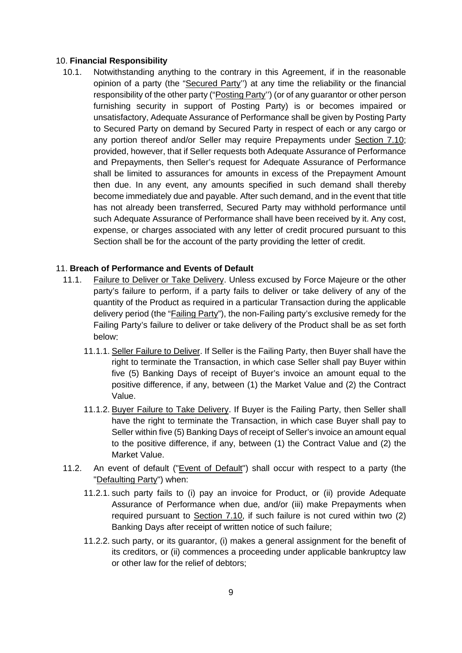### <span id="page-8-0"></span>10. **Financial Responsibility**

10.1. Notwithstanding anything to the contrary in this Agreement, if in the reasonable opinion of a party (the "Secured Party'') at any time the reliability or the financial responsibility of the other party ("Posting Party'') (or of any guarantor or other person furnishing security in support of Posting Party) is or becomes impaired or unsatisfactory, Adequate Assurance of Performance shall be given by Posting Party to Secured Party on demand by Secured Party in respect of each or any cargo or any portion thereof and/or Seller may require Prepayments under Section 7.10; provided, however, that if Seller requests both Adequate Assurance of Performance and Prepayments, then Seller's request for Adequate Assurance of Performance shall be limited to assurances for amounts in excess of the Prepayment Amount then due. In any event, any amounts specified in such demand shall thereby become immediately due and payable. After such demand, and in the event that title has not already been transferred, Secured Party may withhold performance until such Adequate Assurance of Performance shall have been received by it. Any cost, expense, or charges associated with any letter of credit procured pursuant to this Section shall be for the account of the party providing the letter of credit.

## <span id="page-8-1"></span>11. **Breach of Performance and Events of Default**

- 11.1. Failure to Deliver or Take Delivery. Unless excused by Force Majeure or the other party's failure to perform, if a party fails to deliver or take delivery of any of the quantity of the Product as required in a particular Transaction during the applicable delivery period (the "Failing Party"), the non-Failing party's exclusive remedy for the Failing Party's failure to deliver or take delivery of the Product shall be as set forth below:
	- 11.1.1. Seller Failure to Deliver. If Seller is the Failing Party, then Buyer shall have the right to terminate the Transaction, in which case Seller shall pay Buyer within five (5) Banking Days of receipt of Buyer's invoice an amount equal to the positive difference, if any, between (1) the Market Value and (2) the Contract Value.
	- 11.1.2. Buyer Failure to Take Delivery. If Buyer is the Failing Party, then Seller shall have the right to terminate the Transaction, in which case Buyer shall pay to Seller within five (5) Banking Days of receipt of Seller's invoice an amount equal to the positive difference, if any, between (1) the Contract Value and (2) the Market Value.
- 11.2. An event of default ("Event of Default") shall occur with respect to a party (the "Defaulting Party") when:
	- 11.2.1. such party fails to (i) pay an invoice for Product, or (ii) provide Adequate Assurance of Performance when due, and/or (iii) make Prepayments when required pursuant to Section 7.10, if such failure is not cured within two (2) Banking Days after receipt of written notice of such failure;
	- 11.2.2. such party, or its guarantor, (i) makes a general assignment for the benefit of its creditors, or (ii) commences a proceeding under applicable bankruptcy law or other law for the relief of debtors;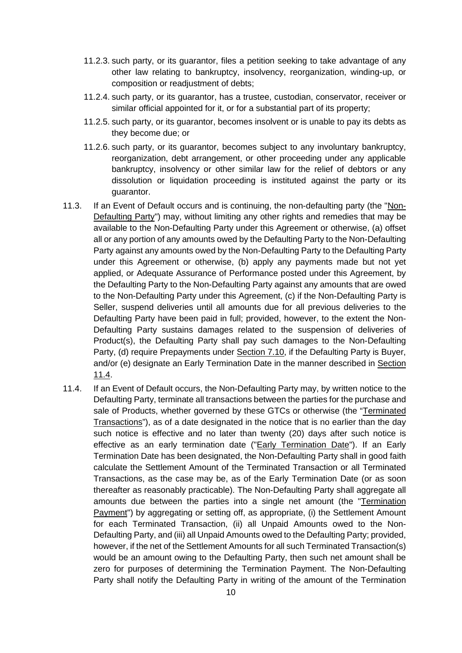- 11.2.3. such party, or its guarantor, files a petition seeking to take advantage of any other law relating to bankruptcy, insolvency, reorganization, winding-up, or composition or readjustment of debts;
- 11.2.4. such party, or its guarantor, has a trustee, custodian, conservator, receiver or similar official appointed for it, or for a substantial part of its property;
- 11.2.5. such party, or its guarantor, becomes insolvent or is unable to pay its debts as they become due; or
- 11.2.6. such party, or its guarantor, becomes subject to any involuntary bankruptcy, reorganization, debt arrangement, or other proceeding under any applicable bankruptcy, insolvency or other similar law for the relief of debtors or any dissolution or liquidation proceeding is instituted against the party or its guarantor.
- 11.3. If an Event of Default occurs and is continuing, the non-defaulting party (the "Non-Defaulting Party") may, without limiting any other rights and remedies that may be available to the Non-Defaulting Party under this Agreement or otherwise, (a) offset all or any portion of any amounts owed by the Defaulting Party to the Non-Defaulting Party against any amounts owed by the Non-Defaulting Party to the Defaulting Party under this Agreement or otherwise, (b) apply any payments made but not yet applied, or Adequate Assurance of Performance posted under this Agreement, by the Defaulting Party to the Non-Defaulting Party against any amounts that are owed to the Non-Defaulting Party under this Agreement, (c) if the Non-Defaulting Party is Seller, suspend deliveries until all amounts due for all previous deliveries to the Defaulting Party have been paid in full; provided, however, to the extent the Non-Defaulting Party sustains damages related to the suspension of deliveries of Product(s), the Defaulting Party shall pay such damages to the Non-Defaulting Party, (d) require Prepayments under Section 7.10, if the Defaulting Party is Buyer, and/or (e) designate an Early Termination Date in the manner described in Section 11.4.
- 11.4. If an Event of Default occurs, the Non-Defaulting Party may, by written notice to the Defaulting Party, terminate all transactions between the parties for the purchase and sale of Products, whether governed by these GTCs or otherwise (the "Terminated Transactions"), as of a date designated in the notice that is no earlier than the day such notice is effective and no later than twenty (20) days after such notice is effective as an early termination date ("Early Termination Date"). If an Early Termination Date has been designated, the Non-Defaulting Party shall in good faith calculate the Settlement Amount of the Terminated Transaction or all Terminated Transactions, as the case may be, as of the Early Termination Date (or as soon thereafter as reasonably practicable). The Non-Defaulting Party shall aggregate all amounts due between the parties into a single net amount (the "Termination Payment") by aggregating or setting off, as appropriate, (i) the Settlement Amount for each Terminated Transaction, (ii) all Unpaid Amounts owed to the Non-Defaulting Party, and (iii) all Unpaid Amounts owed to the Defaulting Party; provided, however, if the net of the Settlement Amounts for all such Terminated Transaction(s) would be an amount owing to the Defaulting Party, then such net amount shall be zero for purposes of determining the Termination Payment. The Non-Defaulting Party shall notify the Defaulting Party in writing of the amount of the Termination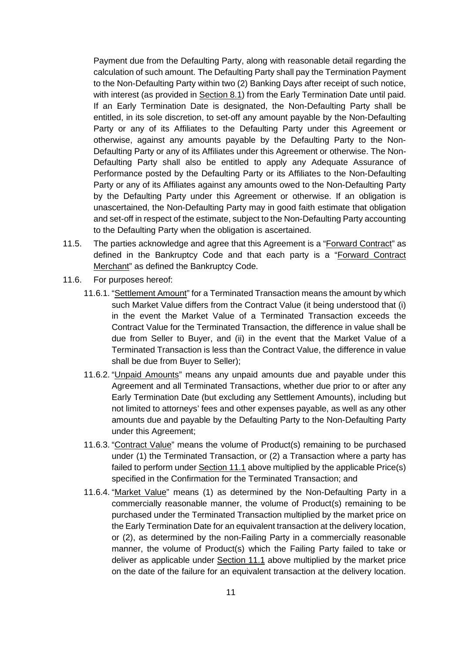Payment due from the Defaulting Party, along with reasonable detail regarding the calculation of such amount. The Defaulting Party shall pay the Termination Payment to the Non-Defaulting Party within two (2) Banking Days after receipt of such notice, with interest (as provided in Section 8.1) from the Early Termination Date until paid. If an Early Termination Date is designated, the Non-Defaulting Party shall be entitled, in its sole discretion, to set-off any amount payable by the Non-Defaulting Party or any of its Affiliates to the Defaulting Party under this Agreement or otherwise, against any amounts payable by the Defaulting Party to the Non-Defaulting Party or any of its Affiliates under this Agreement or otherwise. The Non-Defaulting Party shall also be entitled to apply any Adequate Assurance of Performance posted by the Defaulting Party or its Affiliates to the Non-Defaulting Party or any of its Affiliates against any amounts owed to the Non-Defaulting Party by the Defaulting Party under this Agreement or otherwise. If an obligation is unascertained, the Non-Defaulting Party may in good faith estimate that obligation and set-off in respect of the estimate, subject to the Non-Defaulting Party accounting to the Defaulting Party when the obligation is ascertained.

- 11.5. The parties acknowledge and agree that this Agreement is a "Forward Contract" as defined in the Bankruptcy Code and that each party is a "Forward Contract Merchant" as defined the Bankruptcy Code.
- 11.6. For purposes hereof:
	- 11.6.1. "Settlement Amount" for a Terminated Transaction means the amount by which such Market Value differs from the Contract Value (it being understood that (i) in the event the Market Value of a Terminated Transaction exceeds the Contract Value for the Terminated Transaction, the difference in value shall be due from Seller to Buyer, and (ii) in the event that the Market Value of a Terminated Transaction is less than the Contract Value, the difference in value shall be due from Buyer to Seller);
	- 11.6.2. "Unpaid Amounts" means any unpaid amounts due and payable under this Agreement and all Terminated Transactions, whether due prior to or after any Early Termination Date (but excluding any Settlement Amounts), including but not limited to attorneys' fees and other expenses payable, as well as any other amounts due and payable by the Defaulting Party to the Non-Defaulting Party under this Agreement;
	- 11.6.3. "Contract Value" means the volume of Product(s) remaining to be purchased under (1) the Terminated Transaction, or (2) a Transaction where a party has failed to perform under Section 11.1 above multiplied by the applicable Price(s) specified in the Confirmation for the Terminated Transaction; and
	- 11.6.4. "Market Value" means (1) as determined by the Non-Defaulting Party in a commercially reasonable manner, the volume of Product(s) remaining to be purchased under the Terminated Transaction multiplied by the market price on the Early Termination Date for an equivalent transaction at the delivery location, or (2), as determined by the non-Failing Party in a commercially reasonable manner, the volume of Product(s) which the Failing Party failed to take or deliver as applicable under Section 11.1 above multiplied by the market price on the date of the failure for an equivalent transaction at the delivery location.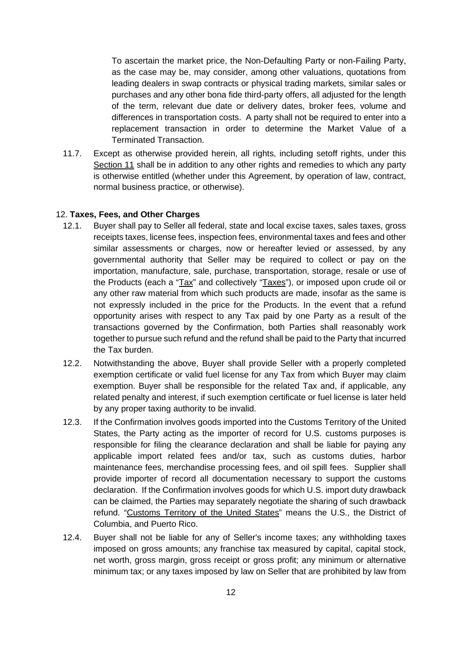To ascertain the market price, the Non-Defaulting Party or non-Failing Party, as the case may be, may consider, among other valuations, quotations from leading dealers in swap contracts or physical trading markets, similar sales or purchases and any other bona fide third-party offers, all adjusted for the length of the term, relevant due date or delivery dates, broker fees, volume and differences in transportation costs. A party shall not be required to enter into a replacement transaction in order to determine the Market Value of a Terminated Transaction.

11.7. Except as otherwise provided herein, all rights, including setoff rights, under this Section 11 shall be in addition to any other rights and remedies to which any party is otherwise entitled (whether under this Agreement, by operation of law, contract, normal business practice, or otherwise).

## <span id="page-11-0"></span>12. **Taxes, Fees, and Other Charges**

- 12.1. Buyer shall pay to Seller all federal, state and local excise taxes, sales taxes, gross receipts taxes, license fees, inspection fees, environmental taxes and fees and other similar assessments or charges, now or hereafter levied or assessed, by any governmental authority that Seller may be required to collect or pay on the importation, manufacture, sale, purchase, transportation, storage, resale or use of the Products (each a "Tax" and collectively "Taxes"), or imposed upon crude oil or any other raw material from which such products are made, insofar as the same is not expressly included in the price for the Products. In the event that a refund opportunity arises with respect to any Tax paid by one Party as a result of the transactions governed by the Confirmation, both Parties shall reasonably work together to pursue such refund and the refund shall be paid to the Party that incurred the Tax burden.
- 12.2. Notwithstanding the above, Buyer shall provide Seller with a properly completed exemption certificate or valid fuel license for any Tax from which Buyer may claim exemption. Buyer shall be responsible for the related Tax and, if applicable, any related penalty and interest, if such exemption certificate or fuel license is later held by any proper taxing authority to be invalid.
- 12.3. If the Confirmation involves goods imported into the Customs Territory of the United States, the Party acting as the importer of record for U.S. customs purposes is responsible for filing the clearance declaration and shall be liable for paying any applicable import related fees and/or tax, such as customs duties, harbor maintenance fees, merchandise processing fees, and oil spill fees. Supplier shall provide importer of record all documentation necessary to support the customs declaration. If the Confirmation involves goods for which U.S. import duty drawback can be claimed, the Parties may separately negotiate the sharing of such drawback refund. "Customs Territory of the United States" means the U.S., the District of Columbia, and Puerto Rico.
- 12.4. Buyer shall not be liable for any of Seller's income taxes; any withholding taxes imposed on gross amounts; any franchise tax measured by capital, capital stock, net worth, gross margin, gross receipt or gross profit; any minimum or alternative minimum tax; or any taxes imposed by law on Seller that are prohibited by law from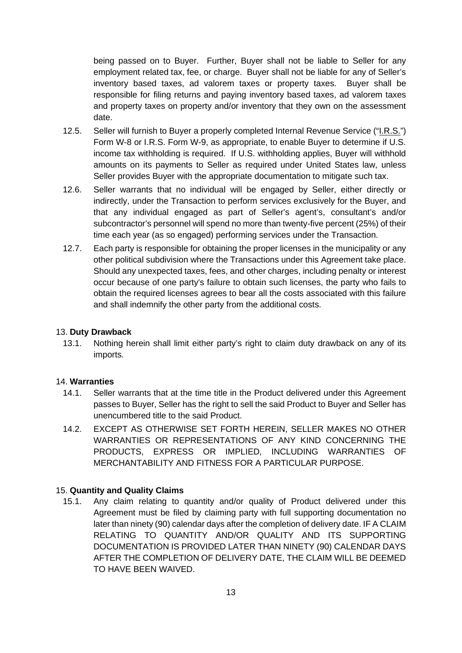being passed on to Buyer. Further, Buyer shall not be liable to Seller for any employment related tax, fee, or charge. Buyer shall not be liable for any of Seller's inventory based taxes, ad valorem taxes or property taxes. Buyer shall be responsible for filing returns and paying inventory based taxes, ad valorem taxes and property taxes on property and/or inventory that they own on the assessment date.

- 12.5. Seller will furnish to Buyer a properly completed Internal Revenue Service ("I.R.S.") Form W-8 or I.R.S. Form W-9, as appropriate, to enable Buyer to determine if U.S. income tax withholding is required. If U.S. withholding applies, Buyer will withhold amounts on its payments to Seller as required under United States law, unless Seller provides Buyer with the appropriate documentation to mitigate such tax.
- 12.6. Seller warrants that no individual will be engaged by Seller, either directly or indirectly, under the Transaction to perform services exclusively for the Buyer, and that any individual engaged as part of Seller's agent's, consultant's and/or subcontractor's personnel will spend no more than twenty-five percent (25%) of their time each year (as so engaged) performing services under the Transaction.
- 12.7. Each party is responsible for obtaining the proper licenses in the municipality or any other political subdivision where the Transactions under this Agreement take place. Should any unexpected taxes, fees, and other charges, including penalty or interest occur because of one party's failure to obtain such licenses, the party who fails to obtain the required licenses agrees to bear all the costs associated with this failure and shall indemnify the other party from the additional costs.

## <span id="page-12-0"></span>13. **Duty Drawback**

13.1. Nothing herein shall limit either party's right to claim duty drawback on any of its imports.

#### <span id="page-12-1"></span>14. **Warranties**

- 14.1. Seller warrants that at the time title in the Product delivered under this Agreement passes to Buyer, Seller has the right to sell the said Product to Buyer and Seller has unencumbered title to the said Product.
- 14.2. EXCEPT AS OTHERWISE SET FORTH HEREIN, SELLER MAKES NO OTHER WARRANTIES OR REPRESENTATIONS OF ANY KIND CONCERNING THE PRODUCTS, EXPRESS OR IMPLIED, INCLUDING WARRANTIES OF MERCHANTABILITY AND FITNESS FOR A PARTICULAR PURPOSE.

#### <span id="page-12-2"></span>15. **Quantity and Quality Claims**

15.1. Any claim relating to quantity and/or quality of Product delivered under this Agreement must be filed by claiming party with full supporting documentation no later than ninety (90) calendar days after the completion of delivery date. IF A CLAIM RELATING TO QUANTITY AND/OR QUALITY AND ITS SUPPORTING DOCUMENTATION IS PROVIDED LATER THAN NINETY (90) CALENDAR DAYS AFTER THE COMPLETION OF DELIVERY DATE, THE CLAIM WILL BE DEEMED TO HAVE BEEN WAIVED.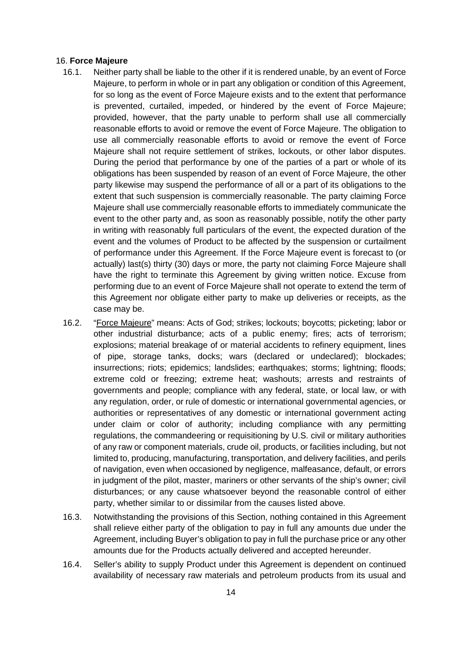#### <span id="page-13-0"></span>16. **Force Majeure**

- 16.1. Neither party shall be liable to the other if it is rendered unable, by an event of Force Majeure, to perform in whole or in part any obligation or condition of this Agreement, for so long as the event of Force Majeure exists and to the extent that performance is prevented, curtailed, impeded, or hindered by the event of Force Majeure; provided, however, that the party unable to perform shall use all commercially reasonable efforts to avoid or remove the event of Force Majeure. The obligation to use all commercially reasonable efforts to avoid or remove the event of Force Majeure shall not require settlement of strikes, lockouts, or other labor disputes. During the period that performance by one of the parties of a part or whole of its obligations has been suspended by reason of an event of Force Majeure, the other party likewise may suspend the performance of all or a part of its obligations to the extent that such suspension is commercially reasonable. The party claiming Force Majeure shall use commercially reasonable efforts to immediately communicate the event to the other party and, as soon as reasonably possible, notify the other party in writing with reasonably full particulars of the event, the expected duration of the event and the volumes of Product to be affected by the suspension or curtailment of performance under this Agreement. If the Force Majeure event is forecast to (or actually) last(s) thirty (30) days or more, the party not claiming Force Majeure shall have the right to terminate this Agreement by giving written notice. Excuse from performing due to an event of Force Majeure shall not operate to extend the term of this Agreement nor obligate either party to make up deliveries or receipts, as the case may be.
- 16.2. "Force Majeure" means: Acts of God; strikes; lockouts; boycotts; picketing; labor or other industrial disturbance; acts of a public enemy; fires; acts of terrorism; explosions; material breakage of or material accidents to refinery equipment, lines of pipe, storage tanks, docks; wars (declared or undeclared); blockades; insurrections; riots; epidemics; landslides; earthquakes; storms; lightning; floods; extreme cold or freezing; extreme heat; washouts; arrests and restraints of governments and people; compliance with any federal, state, or local law, or with any regulation, order, or rule of domestic or international governmental agencies, or authorities or representatives of any domestic or international government acting under claim or color of authority; including compliance with any permitting regulations, the commandeering or requisitioning by U.S. civil or military authorities of any raw or component materials, crude oil, products, or facilities including, but not limited to, producing, manufacturing, transportation, and delivery facilities, and perils of navigation, even when occasioned by negligence, malfeasance, default, or errors in judgment of the pilot, master, mariners or other servants of the ship's owner; civil disturbances; or any cause whatsoever beyond the reasonable control of either party, whether similar to or dissimilar from the causes listed above.
- 16.3. Notwithstanding the provisions of this Section, nothing contained in this Agreement shall relieve either party of the obligation to pay in full any amounts due under the Agreement, including Buyer's obligation to pay in full the purchase price or any other amounts due for the Products actually delivered and accepted hereunder.
- 16.4. Seller's ability to supply Product under this Agreement is dependent on continued availability of necessary raw materials and petroleum products from its usual and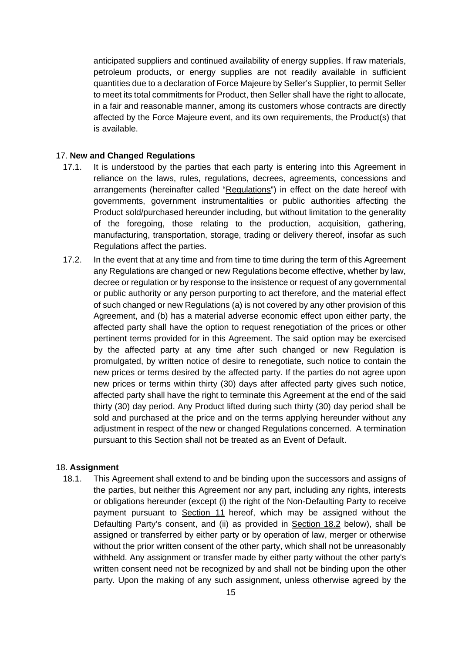anticipated suppliers and continued availability of energy supplies. If raw materials, petroleum products, or energy supplies are not readily available in sufficient quantities due to a declaration of Force Majeure by Seller's Supplier, to permit Seller to meet its total commitments for Product, then Seller shall have the right to allocate, in a fair and reasonable manner, among its customers whose contracts are directly affected by the Force Majeure event, and its own requirements, the Product(s) that is available.

### <span id="page-14-0"></span>17. **New and Changed Regulations**

- 17.1. It is understood by the parties that each party is entering into this Agreement in reliance on the laws, rules, regulations, decrees, agreements, concessions and arrangements (hereinafter called "Regulations") in effect on the date hereof with governments, government instrumentalities or public authorities affecting the Product sold/purchased hereunder including, but without limitation to the generality of the foregoing, those relating to the production, acquisition, gathering, manufacturing, transportation, storage, trading or delivery thereof, insofar as such Regulations affect the parties.
- 17.2. In the event that at any time and from time to time during the term of this Agreement any Regulations are changed or new Regulations become effective, whether by law, decree or regulation or by response to the insistence or request of any governmental or public authority or any person purporting to act therefore, and the material effect of such changed or new Regulations (a) is not covered by any other provision of this Agreement, and (b) has a material adverse economic effect upon either party, the affected party shall have the option to request renegotiation of the prices or other pertinent terms provided for in this Agreement. The said option may be exercised by the affected party at any time after such changed or new Regulation is promulgated, by written notice of desire to renegotiate, such notice to contain the new prices or terms desired by the affected party. If the parties do not agree upon new prices or terms within thirty (30) days after affected party gives such notice, affected party shall have the right to terminate this Agreement at the end of the said thirty (30) day period. Any Product lifted during such thirty (30) day period shall be sold and purchased at the price and on the terms applying hereunder without any adjustment in respect of the new or changed Regulations concerned. A termination pursuant to this Section shall not be treated as an Event of Default.

#### <span id="page-14-1"></span>18. **Assignment**

18.1. This Agreement shall extend to and be binding upon the successors and assigns of the parties, but neither this Agreement nor any part, including any rights, interests or obligations hereunder (except (i) the right of the Non-Defaulting Party to receive payment pursuant to Section 11 hereof, which may be assigned without the Defaulting Party's consent, and (ii) as provided in Section 18.2 below), shall be assigned or transferred by either party or by operation of law, merger or otherwise without the prior written consent of the other party, which shall not be unreasonably withheld. Any assignment or transfer made by either party without the other party's written consent need not be recognized by and shall not be binding upon the other party. Upon the making of any such assignment, unless otherwise agreed by the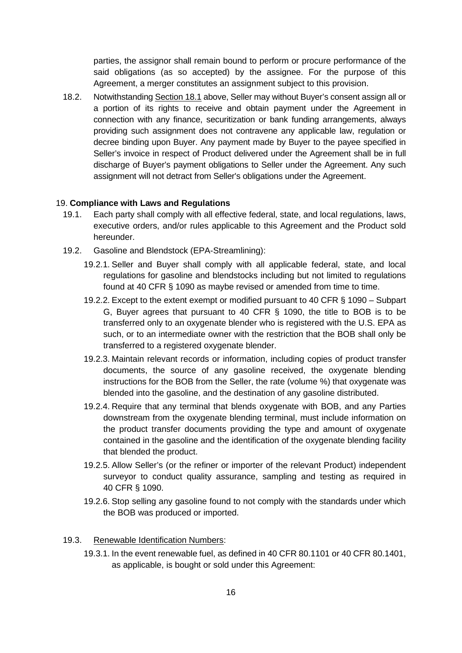parties, the assignor shall remain bound to perform or procure performance of the said obligations (as so accepted) by the assignee. For the purpose of this Agreement, a merger constitutes an assignment subject to this provision.

18.2. Notwithstanding Section 18.1 above, Seller may without Buyer's consent assign all or a portion of its rights to receive and obtain payment under the Agreement in connection with any finance, securitization or bank funding arrangements, always providing such assignment does not contravene any applicable law, regulation or decree binding upon Buyer. Any payment made by Buyer to the payee specified in Seller's invoice in respect of Product delivered under the Agreement shall be in full discharge of Buyer's payment obligations to Seller under the Agreement. Any such assignment will not detract from Seller's obligations under the Agreement.

#### <span id="page-15-0"></span>19. **Compliance with Laws and Regulations**

- 19.1. Each party shall comply with all effective federal, state, and local regulations, laws, executive orders, and/or rules applicable to this Agreement and the Product sold hereunder.
- 19.2. Gasoline and Blendstock (EPA-Streamlining):
	- 19.2.1. Seller and Buyer shall comply with all applicable federal, state, and local regulations for gasoline and blendstocks including but not limited to regulations found at 40 CFR § 1090 as maybe revised or amended from time to time.
	- 19.2.2. Except to the extent exempt or modified pursuant to 40 CFR § 1090 Subpart G, Buyer agrees that pursuant to 40 CFR § 1090, the title to BOB is to be transferred only to an oxygenate blender who is registered with the U.S. EPA as such, or to an intermediate owner with the restriction that the BOB shall only be transferred to a registered oxygenate blender.
	- 19.2.3. Maintain relevant records or information, including copies of product transfer documents, the source of any gasoline received, the oxygenate blending instructions for the BOB from the Seller, the rate (volume %) that oxygenate was blended into the gasoline, and the destination of any gasoline distributed.
	- 19.2.4. Require that any terminal that blends oxygenate with BOB, and any Parties downstream from the oxygenate blending terminal, must include information on the product transfer documents providing the type and amount of oxygenate contained in the gasoline and the identification of the oxygenate blending facility that blended the product.
	- 19.2.5. Allow Seller's (or the refiner or importer of the relevant Product) independent surveyor to conduct quality assurance, sampling and testing as required in 40 CFR § 1090.
	- 19.2.6. Stop selling any gasoline found to not comply with the standards under which the BOB was produced or imported.

#### 19.3. Renewable Identification Numbers:

19.3.1. In the event renewable fuel, as defined in 40 CFR 80.1101 or 40 CFR 80.1401, as applicable, is bought or sold under this Agreement: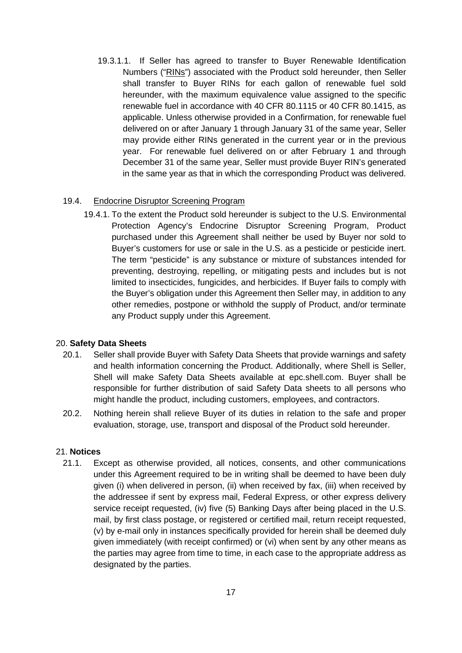19.3.1.1. If Seller has agreed to transfer to Buyer Renewable Identification Numbers ("RINs") associated with the Product sold hereunder, then Seller shall transfer to Buyer RINs for each gallon of renewable fuel sold hereunder, with the maximum equivalence value assigned to the specific renewable fuel in accordance with 40 CFR 80.1115 or 40 CFR 80.1415, as applicable. Unless otherwise provided in a Confirmation, for renewable fuel delivered on or after January 1 through January 31 of the same year, Seller may provide either RINs generated in the current year or in the previous year. For renewable fuel delivered on or after February 1 and through December 31 of the same year, Seller must provide Buyer RIN's generated in the same year as that in which the corresponding Product was delivered.

## 19.4. Endocrine Disruptor Screening Program

19.4.1. To the extent the Product sold hereunder is subject to the U.S. Environmental Protection Agency's Endocrine Disruptor Screening Program, Product purchased under this Agreement shall neither be used by Buyer nor sold to Buyer's customers for use or sale in the U.S. as a pesticide or pesticide inert. The term "pesticide" is any substance or mixture of substances intended for preventing, destroying, repelling, or mitigating pests and includes but is not limited to insecticides, fungicides, and herbicides. If Buyer fails to comply with the Buyer's obligation under this Agreement then Seller may, in addition to any other remedies, postpone or withhold the supply of Product, and/or terminate any Product supply under this Agreement.

## <span id="page-16-0"></span>20. **Safety Data Sheets**

- 20.1. Seller shall provide Buyer with Safety Data Sheets that provide warnings and safety and health information concerning the Product. Additionally, where Shell is Seller, Shell will make Safety Data Sheets available at epc.shell.com. Buyer shall be responsible for further distribution of said Safety Data sheets to all persons who might handle the product, including customers, employees, and contractors.
- 20.2. Nothing herein shall relieve Buyer of its duties in relation to the safe and proper evaluation, storage, use, transport and disposal of the Product sold hereunder.

## <span id="page-16-1"></span>21. **Notices**

21.1. Except as otherwise provided, all notices, consents, and other communications under this Agreement required to be in writing shall be deemed to have been duly given (i) when delivered in person, (ii) when received by fax, (iii) when received by the addressee if sent by express mail, Federal Express, or other express delivery service receipt requested, (iv) five (5) Banking Days after being placed in the U.S. mail, by first class postage, or registered or certified mail, return receipt requested, (v) by e-mail only in instances specifically provided for herein shall be deemed duly given immediately (with receipt confirmed) or (vi) when sent by any other means as the parties may agree from time to time, in each case to the appropriate address as designated by the parties.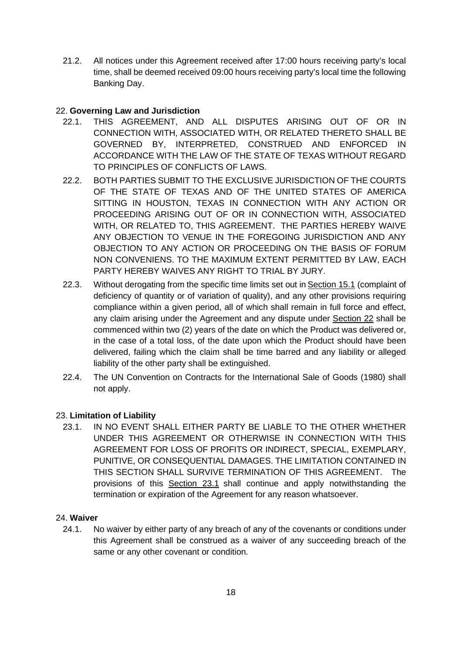21.2. All notices under this Agreement received after 17:00 hours receiving party's local time, shall be deemed received 09:00 hours receiving party's local time the following Banking Day.

# <span id="page-17-0"></span>22. **Governing Law and Jurisdiction**

- 22.1. THIS AGREEMENT, AND ALL DISPUTES ARISING OUT OF OR IN CONNECTION WITH, ASSOCIATED WITH, OR RELATED THERETO SHALL BE GOVERNED BY, INTERPRETED, CONSTRUED AND ENFORCED IN ACCORDANCE WITH THE LAW OF THE STATE OF TEXAS WITHOUT REGARD TO PRINCIPLES OF CONFLICTS OF LAWS.
- 22.2. BOTH PARTIES SUBMIT TO THE EXCLUSIVE JURISDICTION OF THE COURTS OF THE STATE OF TEXAS AND OF THE UNITED STATES OF AMERICA SITTING IN HOUSTON, TEXAS IN CONNECTION WITH ANY ACTION OR PROCEEDING ARISING OUT OF OR IN CONNECTION WITH, ASSOCIATED WITH, OR RELATED TO, THIS AGREEMENT. THE PARTIES HEREBY WAIVE ANY OBJECTION TO VENUE IN THE FOREGOING JURISDICTION AND ANY OBJECTION TO ANY ACTION OR PROCEEDING ON THE BASIS OF FORUM NON CONVENIENS. TO THE MAXIMUM EXTENT PERMITTED BY LAW, EACH PARTY HEREBY WAIVES ANY RIGHT TO TRIAL BY JURY.
- 22.3. Without derogating from the specific time limits set out in Section 15.1 (complaint of deficiency of quantity or of variation of quality), and any other provisions requiring compliance within a given period, all of which shall remain in full force and effect, any claim arising under the Agreement and any dispute under Section 22 shall be commenced within two (2) years of the date on which the Product was delivered or, in the case of a total loss, of the date upon which the Product should have been delivered, failing which the claim shall be time barred and any liability or alleged liability of the other party shall be extinguished.
- 22.4. The UN Convention on Contracts for the International Sale of Goods (1980) shall not apply.

# <span id="page-17-1"></span>23. **Limitation of Liability**

23.1. IN NO EVENT SHALL EITHER PARTY BE LIABLE TO THE OTHER WHETHER UNDER THIS AGREEMENT OR OTHERWISE IN CONNECTION WITH THIS AGREEMENT FOR LOSS OF PROFITS OR INDIRECT, SPECIAL, EXEMPLARY, PUNITIVE, OR CONSEQUENTIAL DAMAGES. THE LIMITATION CONTAINED IN THIS SECTION SHALL SURVIVE TERMINATION OF THIS AGREEMENT. The provisions of this Section 23.1 shall continue and apply notwithstanding the termination or expiration of the Agreement for any reason whatsoever.

## <span id="page-17-2"></span>24. **Waiver**

24.1. No waiver by either party of any breach of any of the covenants or conditions under this Agreement shall be construed as a waiver of any succeeding breach of the same or any other covenant or condition.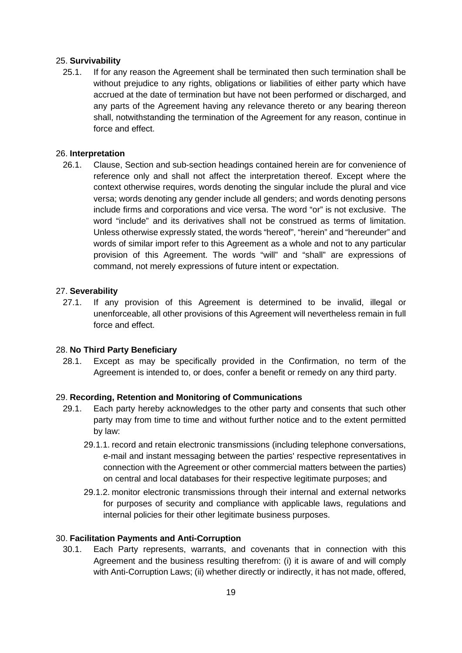## <span id="page-18-0"></span>25. **Survivability**

25.1. If for any reason the Agreement shall be terminated then such termination shall be without prejudice to any rights, obligations or liabilities of either party which have accrued at the date of termination but have not been performed or discharged, and any parts of the Agreement having any relevance thereto or any bearing thereon shall, notwithstanding the termination of the Agreement for any reason, continue in force and effect.

## <span id="page-18-1"></span>26. **Interpretation**

26.1. Clause, Section and sub-section headings contained herein are for convenience of reference only and shall not affect the interpretation thereof. Except where the context otherwise requires, words denoting the singular include the plural and vice versa; words denoting any gender include all genders; and words denoting persons include firms and corporations and vice versa. The word "or" is not exclusive. The word "include" and its derivatives shall not be construed as terms of limitation. Unless otherwise expressly stated, the words "hereof", "herein" and "hereunder" and words of similar import refer to this Agreement as a whole and not to any particular provision of this Agreement. The words "will" and "shall" are expressions of command, not merely expressions of future intent or expectation.

#### <span id="page-18-2"></span>27. **Severability**

27.1. If any provision of this Agreement is determined to be invalid, illegal or unenforceable, all other provisions of this Agreement will nevertheless remain in full force and effect.

#### <span id="page-18-3"></span>28. **No Third Party Beneficiary**

28.1. Except as may be specifically provided in the Confirmation, no term of the Agreement is intended to, or does, confer a benefit or remedy on any third party.

#### <span id="page-18-4"></span>29. **Recording, Retention and Monitoring of Communications**

- 29.1. Each party hereby acknowledges to the other party and consents that such other party may from time to time and without further notice and to the extent permitted by law:
	- 29.1.1. record and retain electronic transmissions (including telephone conversations, e-mail and instant messaging between the parties' respective representatives in connection with the Agreement or other commercial matters between the parties) on central and local databases for their respective legitimate purposes; and
	- 29.1.2. monitor electronic transmissions through their internal and external networks for purposes of security and compliance with applicable laws, regulations and internal policies for their other legitimate business purposes.

#### <span id="page-18-5"></span>30. **Facilitation Payments and Anti-Corruption**

30.1. Each Party represents, warrants, and covenants that in connection with this Agreement and the business resulting therefrom: (i) it is aware of and will comply with Anti-Corruption Laws; (ii) whether directly or indirectly, it has not made, offered,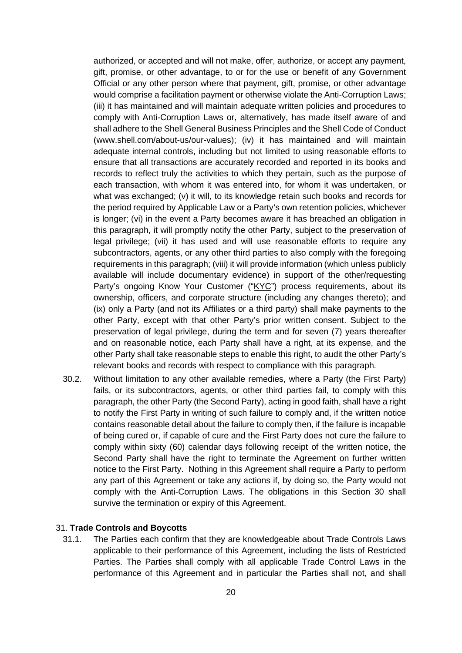authorized, or accepted and will not make, offer, authorize, or accept any payment, gift, promise, or other advantage, to or for the use or benefit of any Government Official or any other person where that payment, gift, promise, or other advantage would comprise a facilitation payment or otherwise violate the Anti-Corruption Laws; (iii) it has maintained and will maintain adequate written policies and procedures to comply with Anti-Corruption Laws or, alternatively, has made itself aware of and shall adhere to the Shell General Business Principles and the Shell Code of Conduct (www.shell.com/about-us/our-values); (iv) it has maintained and will maintain adequate internal controls, including but not limited to using reasonable efforts to ensure that all transactions are accurately recorded and reported in its books and records to reflect truly the activities to which they pertain, such as the purpose of each transaction, with whom it was entered into, for whom it was undertaken, or what was exchanged; (v) it will, to its knowledge retain such books and records for the period required by Applicable Law or a Party's own retention policies, whichever is longer; (vi) in the event a Party becomes aware it has breached an obligation in this paragraph, it will promptly notify the other Party, subject to the preservation of legal privilege; (vii) it has used and will use reasonable efforts to require any subcontractors, agents, or any other third parties to also comply with the foregoing requirements in this paragraph; (viii) it will provide information (which unless publicly available will include documentary evidence) in support of the other/requesting Party's ongoing Know Your Customer ("KYC") process requirements, about its ownership, officers, and corporate structure (including any changes thereto); and (ix) only a Party (and not its Affiliates or a third party) shall make payments to the other Party, except with that other Party's prior written consent. Subject to the preservation of legal privilege, during the term and for seven (7) years thereafter and on reasonable notice, each Party shall have a right, at its expense, and the other Party shall take reasonable steps to enable this right, to audit the other Party's relevant books and records with respect to compliance with this paragraph.

30.2. Without limitation to any other available remedies, where a Party (the First Party) fails, or its subcontractors, agents, or other third parties fail, to comply with this paragraph, the other Party (the Second Party), acting in good faith, shall have a right to notify the First Party in writing of such failure to comply and, if the written notice contains reasonable detail about the failure to comply then, if the failure is incapable of being cured or, if capable of cure and the First Party does not cure the failure to comply within sixty (60) calendar days following receipt of the written notice, the Second Party shall have the right to terminate the Agreement on further written notice to the First Party. Nothing in this Agreement shall require a Party to perform any part of this Agreement or take any actions if, by doing so, the Party would not comply with the Anti-Corruption Laws. The obligations in this Section 30 shall survive the termination or expiry of this Agreement.

### <span id="page-19-0"></span>31. **Trade Controls and Boycotts**

31.1. The Parties each confirm that they are knowledgeable about Trade Controls Laws applicable to their performance of this Agreement, including the lists of Restricted Parties. The Parties shall comply with all applicable Trade Control Laws in the performance of this Agreement and in particular the Parties shall not, and shall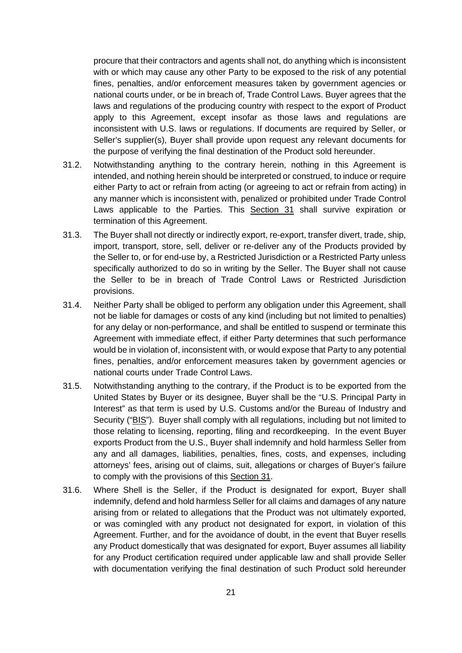procure that their contractors and agents shall not, do anything which is inconsistent with or which may cause any other Party to be exposed to the risk of any potential fines, penalties, and/or enforcement measures taken by government agencies or national courts under, or be in breach of, Trade Control Laws. Buyer agrees that the laws and regulations of the producing country with respect to the export of Product apply to this Agreement, except insofar as those laws and regulations are inconsistent with U.S. laws or regulations. If documents are required by Seller, or Seller's supplier(s), Buyer shall provide upon request any relevant documents for the purpose of verifying the final destination of the Product sold hereunder.

- 31.2. Notwithstanding anything to the contrary herein, nothing in this Agreement is intended, and nothing herein should be interpreted or construed, to induce or require either Party to act or refrain from acting (or agreeing to act or refrain from acting) in any manner which is inconsistent with, penalized or prohibited under Trade Control Laws applicable to the Parties. This Section 31 shall survive expiration or termination of this Agreement.
- 31.3. The Buyer shall not directly or indirectly export, re-export, transfer divert, trade, ship, import, transport, store, sell, deliver or re-deliver any of the Products provided by the Seller to, or for end-use by, a Restricted Jurisdiction or a Restricted Party unless specifically authorized to do so in writing by the Seller. The Buyer shall not cause the Seller to be in breach of Trade Control Laws or Restricted Jurisdiction provisions.
- 31.4. Neither Party shall be obliged to perform any obligation under this Agreement, shall not be liable for damages or costs of any kind (including but not limited to penalties) for any delay or non-performance, and shall be entitled to suspend or terminate this Agreement with immediate effect, if either Party determines that such performance would be in violation of, inconsistent with, or would expose that Party to any potential fines, penalties, and/or enforcement measures taken by government agencies or national courts under Trade Control Laws.
- 31.5. Notwithstanding anything to the contrary, if the Product is to be exported from the United States by Buyer or its designee, Buyer shall be the "U.S. Principal Party in Interest" as that term is used by U.S. Customs and/or the Bureau of Industry and Security ("BIS"). Buyer shall comply with all regulations, including but not limited to those relating to licensing, reporting, filing and recordkeeping. In the event Buyer exports Product from the U.S., Buyer shall indemnify and hold harmless Seller from any and all damages, liabilities, penalties, fines, costs, and expenses, including attorneys' fees, arising out of claims, suit, allegations or charges of Buyer's failure to comply with the provisions of this Section 31.
- 31.6. Where Shell is the Seller, if the Product is designated for export, Buyer shall indemnify, defend and hold harmless Seller for all claims and damages of any nature arising from or related to allegations that the Product was not ultimately exported, or was comingled with any product not designated for export, in violation of this Agreement. Further, and for the avoidance of doubt, in the event that Buyer resells any Product domestically that was designated for export, Buyer assumes all liability for any Product certification required under applicable law and shall provide Seller with documentation verifying the final destination of such Product sold hereunder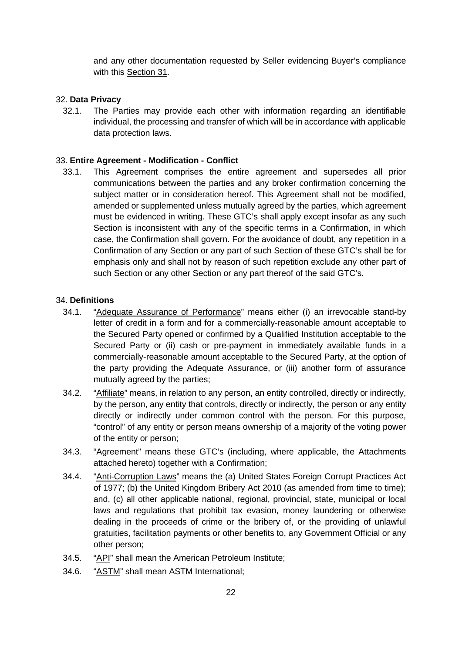and any other documentation requested by Seller evidencing Buyer's compliance with this Section 31.

#### <span id="page-21-0"></span>32. **Data Privacy**

32.1. The Parties may provide each other with information regarding an identifiable individual, the processing and transfer of which will be in accordance with applicable data protection laws.

#### <span id="page-21-1"></span>33. **Entire Agreement - Modification - Conflict**

33.1. This Agreement comprises the entire agreement and supersedes all prior communications between the parties and any broker confirmation concerning the subject matter or in consideration hereof. This Agreement shall not be modified, amended or supplemented unless mutually agreed by the parties, which agreement must be evidenced in writing. These GTC's shall apply except insofar as any such Section is inconsistent with any of the specific terms in a Confirmation, in which case, the Confirmation shall govern. For the avoidance of doubt, any repetition in a Confirmation of any Section or any part of such Section of these GTC's shall be for emphasis only and shall not by reason of such repetition exclude any other part of such Section or any other Section or any part thereof of the said GTC's.

#### <span id="page-21-2"></span>34. **Definitions**

- 34.1. "Adequate Assurance of Performance" means either (i) an irrevocable stand-by letter of credit in a form and for a commercially-reasonable amount acceptable to the Secured Party opened or confirmed by a Qualified Institution acceptable to the Secured Party or (ii) cash or pre-payment in immediately available funds in a commercially-reasonable amount acceptable to the Secured Party, at the option of the party providing the Adequate Assurance, or (iii) another form of assurance mutually agreed by the parties;
- 34.2. "Affiliate" means, in relation to any person, an entity controlled, directly or indirectly, by the person, any entity that controls, directly or indirectly, the person or any entity directly or indirectly under common control with the person. For this purpose, "control" of any entity or person means ownership of a majority of the voting power of the entity or person;
- 34.3. "Agreement" means these GTC's (including, where applicable, the Attachments attached hereto) together with a Confirmation;
- 34.4. "Anti-Corruption Laws" means the (a) United States Foreign Corrupt Practices Act of 1977; (b) the United Kingdom Bribery Act 2010 (as amended from time to time); and, (c) all other applicable national, regional, provincial, state, municipal or local laws and regulations that prohibit tax evasion, money laundering or otherwise dealing in the proceeds of crime or the bribery of, or the providing of unlawful gratuities, facilitation payments or other benefits to, any Government Official or any other person;
- 34.5. "API" shall mean the American Petroleum Institute;
- 34.6. "ASTM" shall mean ASTM International;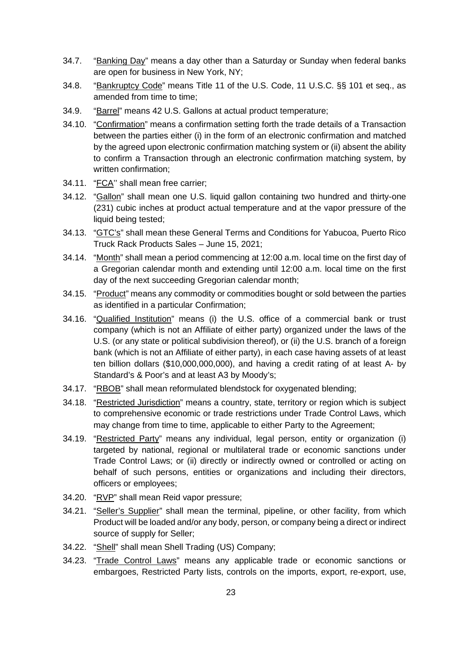- 34.7. "Banking Day" means a day other than a Saturday or Sunday when federal banks are open for business in New York, NY;
- 34.8. "Bankruptcy Code" means Title 11 of the U.S. Code, 11 U.S.C. §§ 101 et seq., as amended from time to time;
- 34.9. "Barrel" means 42 U.S. Gallons at actual product temperature;
- 34.10. "Confirmation" means a confirmation setting forth the trade details of a Transaction between the parties either (i) in the form of an electronic confirmation and matched by the agreed upon electronic confirmation matching system or (ii) absent the ability to confirm a Transaction through an electronic confirmation matching system, by written confirmation;
- 34.11. "FCA'' shall mean free carrier;
- 34.12. "Gallon" shall mean one U.S. liquid gallon containing two hundred and thirty-one (231) cubic inches at product actual temperature and at the vapor pressure of the liquid being tested;
- 34.13. "GTC's" shall mean these General Terms and Conditions for Yabucoa, Puerto Rico Truck Rack Products Sales – June 15, 2021;
- 34.14. "Month" shall mean a period commencing at 12:00 a.m. local time on the first day of a Gregorian calendar month and extending until 12:00 a.m. local time on the first day of the next succeeding Gregorian calendar month;
- 34.15. "Product" means any commodity or commodities bought or sold between the parties as identified in a particular Confirmation;
- 34.16. "Qualified Institution" means (i) the U.S. office of a commercial bank or trust company (which is not an Affiliate of either party) organized under the laws of the U.S. (or any state or political subdivision thereof), or (ii) the U.S. branch of a foreign bank (which is not an Affiliate of either party), in each case having assets of at least ten billion dollars (\$10,000,000,000), and having a credit rating of at least A- by Standard's & Poor's and at least A3 by Moody's;
- 34.17. "RBOB" shall mean reformulated blendstock for oxygenated blending;
- 34.18. "Restricted Jurisdiction" means a country, state, territory or region which is subject to comprehensive economic or trade restrictions under Trade Control Laws, which may change from time to time, applicable to either Party to the Agreement;
- 34.19. "Restricted Party" means any individual, legal person, entity or organization (i) targeted by national, regional or multilateral trade or economic sanctions under Trade Control Laws; or (ii) directly or indirectly owned or controlled or acting on behalf of such persons, entities or organizations and including their directors, officers or employees;
- 34.20. "RVP" shall mean Reid vapor pressure;
- 34.21. "Seller's Supplier" shall mean the terminal, pipeline, or other facility, from which Product will be loaded and/or any body, person, or company being a direct or indirect source of supply for Seller;
- 34.22. "Shell" shall mean Shell Trading (US) Company;
- 34.23. "Trade Control Laws" means any applicable trade or economic sanctions or embargoes, Restricted Party lists, controls on the imports, export, re-export, use,